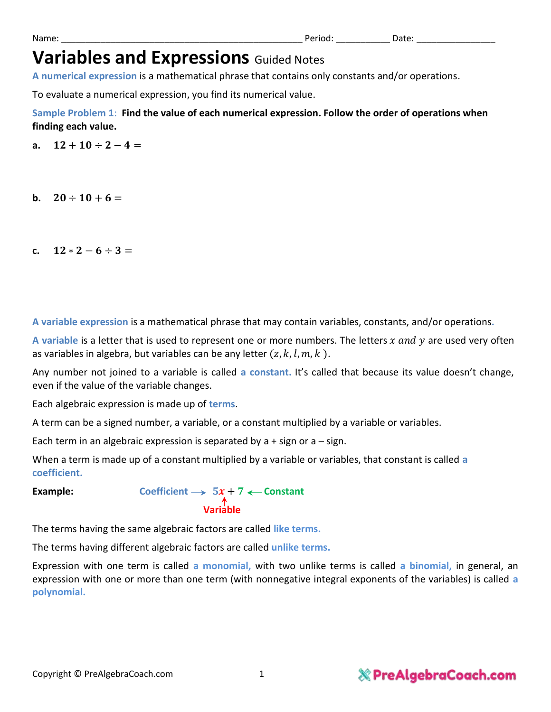| Name | п. | . |
|------|----|---|
|      |    |   |

## **Variables and Expressions** Guided Notes

**A numerical expression** is a mathematical phrase that contains only constants and/or operations.

To evaluate a numerical expression, you find its numerical value.

**Sample Problem 1**: **Find the value of each numerical expression. Follow the order of operations when finding each value.**

**a.**  $12 + 10 \div 2 - 4 =$ 

- **b.**  $20 \div 10 + 6 =$
- c.  $12 * 2 6 \div 3 =$

**A variable expression** is a mathematical phrase that may contain variables, constants, and/or operations**.**

A variable is a letter that is used to represent one or more numbers. The letters x and y are used very often as variables in algebra, but variables can be any letter  $(z, k, l, m, k)$ .

Any number not joined to a variable is called **a constant.** It's called that because its value doesn't change, even if the value of the variable changes.

Each algebraic expression is made up of **terms**.

A term can be a signed number, a variable, or a constant multiplied by a variable or variables.

Each term in an algebraic expression is separated by  $a + sign$  or  $a - sign$ .

When a term is made up of a constant multiplied by a variable or variables, that constant is called **a coefficient.**

**Example: Coefficient**  $\rightarrow$   $5x + 7$   $\leftarrow$  Constant **Variable Variable** 

The terms having the same algebraic factors are called **like terms.**

The terms having different algebraic factors are called **unlike terms.**

Expression with one term is called **a monomial,** with two unlike terms is called **a binomial,** in general, an expression with one or more than one term (with nonnegative integral exponents of the variables) is called **a polynomial.**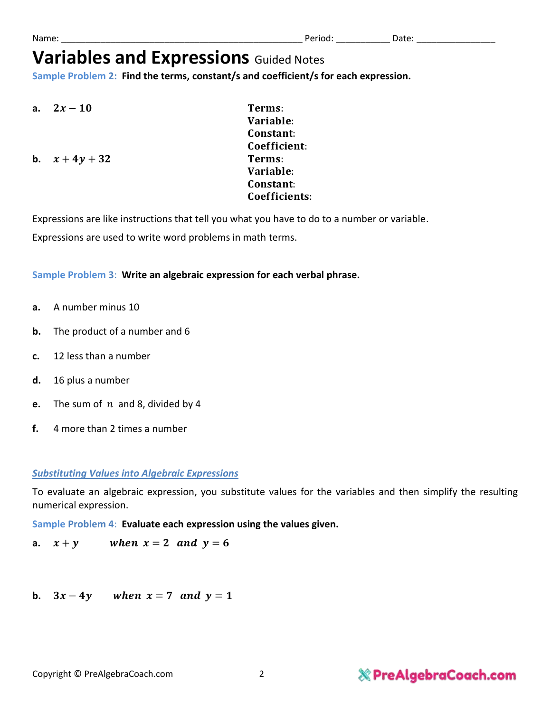Copyright © PreAlgebraCoach.com 2

## **& PreAlgebraCoach.com**

To evaluate an algebraic expression, you substitute values for the variables and then simplify the resulting

numerical expression.

**Sample Problem 4**: **Evaluate each expression using the values given.**

**a.**  $x + y$  when  $x = 2$  and  $y = 6$ 

**b.**  $3x - 4y$  when  $x = 7$  and  $y = 1$ 

**b.**  $x + 4y + 32$  Terms:

Variable: Constant: Coefficient: Variable: Constant: Coefficients:

Expressions are like instructions that tell you what you have to do to a number or variable. Expressions are used to write word problems in math terms.

**Sample Problem 2: Find the terms, constant/s and coefficient/s for each expression.**

**Sample Problem 3**: **Write an algebraic expression for each verbal phrase.**

**Variables and Expressions** Guided Notes

- **a.** A number minus 10
- **b.** The product of a number and 6
- **c.** 12 less than a number
- **d.** 16 plus a number
- **e.** The sum of  $n$  and 8, divided by 4
- **f.** 4 more than 2 times a number
- 
- 

*Substituting Values into Algebraic Expressions*